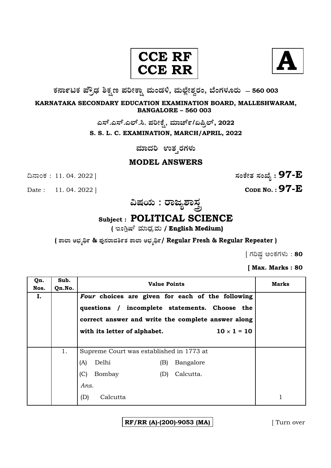#### **CCE CCE R R**



**O⁄´¤%lO⁄ ÆË√v⁄ ÃO⁄–y Æ⁄¬fiO¤– »⁄flMs⁄ÿ, »⁄fl≈Ê«fiÀ⁄ ¡⁄M, ∑ÊMV⁄◊⁄‡¡⁄fl — 560 003** 

**KARNATAKA SECONDARY EDUCATION EXAMINATION BOARD, MALLESHWARAM, BANGALORE – 560 003** 

ಎಸ್.ಎಸ್.ಎಲ್.ಸಿ. ಪರೀಕ್ಷೆ, ಮಾರ್ಚ್/ಏಪ್ರಿಲ್, 2022

**S. S. L. C. EXAMINATION, MARCH/APRIL, 2022** 

 $\frac{1}{2}$ ಮಾದರಿ ಉತ**್ತರಗಳು** 

#### **MODEL ANSWERS**

**CODE NO. : 97-E** 

ದಿನಾಂಕ : 11. 04. 2022 ]  $\vec{B}$ 

**…Œ⁄æ⁄fl : ¡¤d¿À¤—⁄°**

# **Subject : POLITICAL SCIENCE**

( ಇಂಗ್ಲಿಷ್ ಮಾಧ್ಯಮ / English Medium)

**( À¤≈¤ @∫⁄¥¿£% & Æ⁄'¥´⁄¡¤»⁄~%}⁄ À¤≈¤ @∫⁄¥¿£%/ Regular Fresh & Regular Repeater )**

 $\int$  ಗರಿಷ್ಠ ಅಂಕಗಳು : 80

**[ Max. Marks : 80** 

| Qn.<br>Nos. | Sub.<br>Qn.No. | <b>Value Points</b>                                                                                                                                                           | Marks     |  |
|-------------|----------------|-------------------------------------------------------------------------------------------------------------------------------------------------------------------------------|-----------|--|
| I.          |                | Four choices are given for each of the following<br>questions / incomplete statements. Choose the<br>correct answer and write the complete answer along<br>$10 \times 1 = 10$ |           |  |
|             |                | with its letter of alphabet.                                                                                                                                                  |           |  |
|             | 1.             | Supreme Court was established in 1773 at                                                                                                                                      |           |  |
|             |                | Delhi<br>(A)<br>(B)                                                                                                                                                           | Bangalore |  |
|             |                | (C)<br>Bombay<br>(D)                                                                                                                                                          | Calcutta. |  |
|             |                | Ans.                                                                                                                                                                          |           |  |
|             |                | Calcutta<br>(D)                                                                                                                                                               |           |  |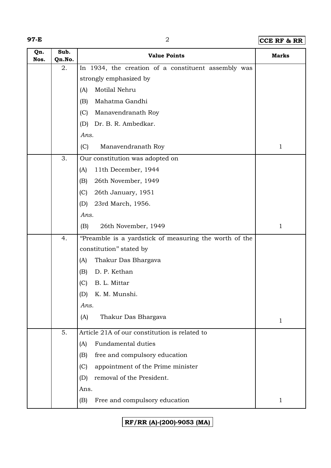### **97-E** 2 **CCE RF & RR**

| Qn.<br>Nos. | Sub.<br>Qn.No. | <b>Value Points</b>                                    | <b>Marks</b> |
|-------------|----------------|--------------------------------------------------------|--------------|
|             | 2.             | In 1934, the creation of a constituent assembly was    |              |
|             |                | strongly emphasized by                                 |              |
|             |                | Motilal Nehru<br>(A)                                   |              |
|             |                | Mahatma Gandhi<br>(B)                                  |              |
|             |                | Manavendranath Roy<br>(C)                              |              |
|             |                | Dr. B. R. Ambedkar.<br>(D)                             |              |
|             |                | Ans.                                                   |              |
|             |                | (C)<br>Manavendranath Roy                              | $\mathbf 1$  |
|             | 3.             | Our constitution was adopted on                        |              |
|             |                | 11th December, 1944<br>(A)                             |              |
|             |                | 26th November, 1949<br>(B)                             |              |
|             |                | (C)<br>26th January, 1951                              |              |
|             |                | 23rd March, 1956.<br>(D)                               |              |
|             |                | Ans.                                                   |              |
|             |                | 26th November, 1949<br>(B)                             | $\mathbf 1$  |
|             | 4.             | "Preamble is a yardstick of measuring the worth of the |              |
|             |                | constitution" stated by                                |              |
|             |                | Thakur Das Bhargava<br>(A)                             |              |
|             |                | D. P. Kethan<br>(B)                                    |              |
|             |                | B. L. Mittar<br>(C)                                    |              |
|             |                | (D)<br>K. M. Munshi.                                   |              |
|             |                | Ans.                                                   |              |
|             |                | Thakur Das Bhargava<br>(A)                             | 1            |
|             | 5.             | Article 21A of our constitution is related to          |              |
|             |                | <b>Fundamental duties</b><br>(A)                       |              |
|             |                | free and compulsory education<br>(B)                   |              |
|             |                | (C)<br>appointment of the Prime minister               |              |
|             |                | removal of the President.<br>(D)                       |              |
|             |                | Ans.                                                   |              |
|             |                | Free and compulsory education<br>(B)                   | $\mathbf 1$  |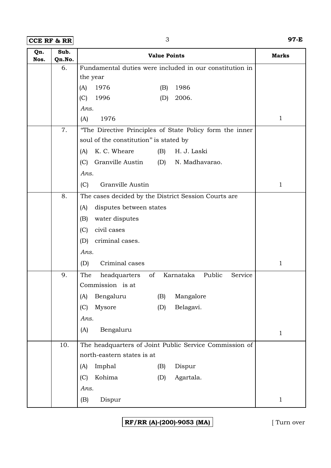**CCE RF & RR** 3 **97-E**

| Qn.<br>Nos. | Sub.<br>Qn.No. | <b>Value Points</b>                                         | <b>Marks</b> |
|-------------|----------------|-------------------------------------------------------------|--------------|
|             | 6.             | Fundamental duties were included in our constitution in     |              |
|             |                | the year                                                    |              |
|             |                | 1976<br>1986<br>(A)<br>(B)                                  |              |
|             |                | 2006.<br>(C)<br>1996<br>(D)                                 |              |
|             |                | Ans.                                                        |              |
|             |                | 1976<br>(A)                                                 | $\mathbf{1}$ |
|             | 7.             | "The Directive Principles of State Policy form the inner    |              |
|             |                | soul of the constitution" is stated by                      |              |
|             |                | K. C. Wheare<br>H. J. Laski<br>(B)<br>(A)                   |              |
|             |                | Granville Austin<br>(C)<br>N. Madhavarao.<br>(D)            |              |
|             |                | Ans.                                                        |              |
|             |                | Granville Austin<br>(C)                                     | $\mathbf{1}$ |
|             | 8.             | The cases decided by the District Session Courts are        |              |
|             |                | disputes between states<br>(A)                              |              |
|             |                | water disputes<br>(B)                                       |              |
|             |                | (C)<br>civil cases                                          |              |
|             |                | criminal cases.<br>(D)                                      |              |
|             |                | Ans.                                                        |              |
|             |                | Criminal cases<br>(D)                                       | 1            |
|             | 9.             | The<br>of<br>Karnataka<br>Public<br>headquarters<br>Service |              |
|             |                | Commission is at                                            |              |
|             |                | (A) Bengaluru<br>(B) Mangalore                              |              |
|             |                | Belagavi.<br>Mysore<br>(C)<br>(D)                           |              |
|             |                | Ans.                                                        |              |
|             |                | Bengaluru<br>(A)                                            | $\mathbf{1}$ |
|             | 10.            | The headquarters of Joint Public Service Commission of      |              |
|             |                | north-eastern states is at                                  |              |
|             |                | Imphal<br>Dispur<br>(B)<br>(A)                              |              |
|             |                | Kohima<br>(C)<br>Agartala.<br>(D)                           |              |
|             |                | Ans.                                                        |              |
|             |                | Dispur<br>(B)                                               | $\mathbf{1}$ |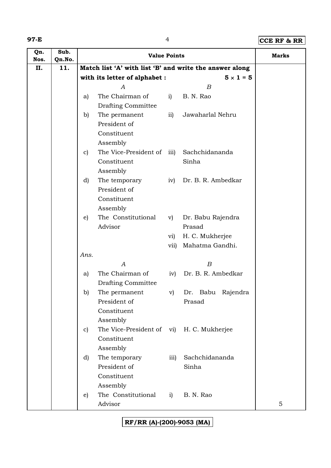### **97-E** 4 **CCE RF & RR**

| Qn.         | Sub.          |              | <b>Value Points</b>                       |                  |                                                         | <b>Marks</b> |
|-------------|---------------|--------------|-------------------------------------------|------------------|---------------------------------------------------------|--------------|
| Nos.<br>II. | Qn.No.<br>11. |              |                                           |                  | Match list 'A' with list 'B' and write the answer along |              |
|             |               |              | with its letter of alphabet :             |                  | $5 \times 1 = 5$                                        |              |
|             |               |              | А                                         |                  | $\boldsymbol{B}$                                        |              |
|             |               | a)           | The Chairman of                           | i)               | B. N. Rao                                               |              |
|             |               |              | <b>Drafting Committee</b>                 |                  |                                                         |              |
|             |               | b)           | The permanent                             | $\mathbf{ii}$    | Jawaharlal Nehru                                        |              |
|             |               |              | President of                              |                  |                                                         |              |
|             |               |              | Constituent                               |                  |                                                         |              |
|             |               |              | Assembly                                  |                  |                                                         |              |
|             |               | $\mathbf{c}$ | The Vice-President of                     | $\overline{111}$ | Sachchidananda                                          |              |
|             |               |              | Constituent                               |                  | Sinha                                                   |              |
|             |               |              | Assembly                                  |                  |                                                         |              |
|             |               | d)           | The temporary                             | iv)              | Dr. B. R. Ambedkar                                      |              |
|             |               |              | President of                              |                  |                                                         |              |
|             |               |              | Constituent                               |                  |                                                         |              |
|             |               |              | Assembly                                  |                  |                                                         |              |
|             |               | e)           | The Constitutional                        | V)               | Dr. Babu Rajendra                                       |              |
|             |               |              | Advisor                                   |                  | Prasad                                                  |              |
|             |               |              |                                           | vi)              | H. C. Mukherjee                                         |              |
|             |               |              |                                           | vii)             | Mahatma Gandhi.                                         |              |
|             |               | Ans.         |                                           |                  |                                                         |              |
|             |               |              | А                                         |                  | B                                                       |              |
|             |               | a)           | The Chairman of                           | iv)              | Dr. B. R. Ambedkar                                      |              |
|             |               |              | Drafting Committee                        |                  |                                                         |              |
|             |               | b)           | The permanent                             | $\mathbf{v})$    | Babu<br>Dr.<br>Rajendra                                 |              |
|             |               |              | President of                              |                  | Prasad                                                  |              |
|             |               |              | Constituent                               |                  |                                                         |              |
|             |               |              | Assembly                                  |                  |                                                         |              |
|             |               | $\mathbf{c}$ | The Vice-President of vi) H. C. Mukherjee |                  |                                                         |              |
|             |               |              | Constituent                               |                  |                                                         |              |
|             |               |              | Assembly                                  |                  |                                                         |              |
|             |               | d)           | The temporary<br>President of             | iii)             | Sachchidananda<br>Sinha                                 |              |
|             |               |              | Constituent                               |                  |                                                         |              |
|             |               |              | Assembly                                  |                  |                                                         |              |
|             |               | e)           | The Constitutional                        | i)               | B. N. Rao                                               |              |
|             |               |              | Advisor                                   |                  |                                                         | 5            |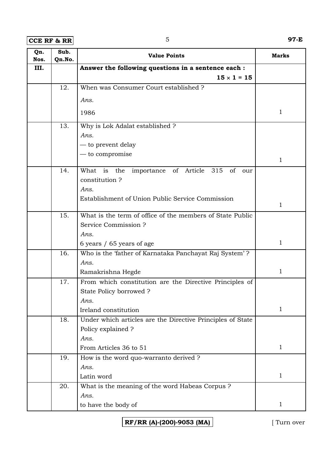**CCE RF & RR** 5 **97-E** 

| Qn.<br>Nos. | Sub.<br>Qn.No. | <b>Value Points</b>                                               | <b>Marks</b> |
|-------------|----------------|-------------------------------------------------------------------|--------------|
| III.        |                | Answer the following questions in a sentence each :               |              |
|             |                | $15 \times 1 = 15$                                                |              |
|             | 12.            | When was Consumer Court established?                              |              |
|             |                | Ans.                                                              |              |
|             |                | 1986                                                              | $\mathbf{1}$ |
|             |                |                                                                   |              |
|             | 13.            | Why is Lok Adalat established ?                                   |              |
|             |                | Ans.                                                              |              |
|             |                | — to prevent delay                                                |              |
|             |                | $-$ to compromise                                                 | 1            |
|             | 14.            | the<br>of<br>Article<br>315<br>What is<br>importance<br>of<br>our |              |
|             |                | constitution?                                                     |              |
|             |                | Ans.                                                              |              |
|             |                | Establishment of Union Public Service Commission                  |              |
|             |                |                                                                   | $\mathbf{1}$ |
|             | 15.            | What is the term of office of the members of State Public         |              |
|             |                | Service Commission ?                                              |              |
|             |                | Ans.                                                              |              |
|             |                | 6 years / 65 years of age                                         | 1            |
|             | 16.            | Who is the 'father of Karnataka Panchayat Raj System'?            |              |
|             |                | Ans.                                                              |              |
|             |                | Ramakrishna Hegde                                                 | 1            |
|             | 17.            | From which constitution are the Directive Principles of           |              |
|             |                | State Policy borrowed?                                            |              |
|             |                | Ans.                                                              |              |
|             |                | Ireland constitution                                              | $\mathbf{1}$ |
|             | 18.            | Under which articles are the Directive Principles of State        |              |
|             |                | Policy explained ?                                                |              |
|             |                | Ans.                                                              |              |
|             |                | From Articles 36 to 51                                            | $\mathbf{1}$ |
|             | 19.            | How is the word quo-warranto derived ?                            |              |
|             |                | Ans.                                                              | $\mathbf{1}$ |
|             |                | Latin word                                                        |              |
|             | 20.            | What is the meaning of the word Habeas Corpus ?<br>Ans.           |              |
|             |                | to have the body of                                               | $\mathbf{1}$ |
|             |                |                                                                   |              |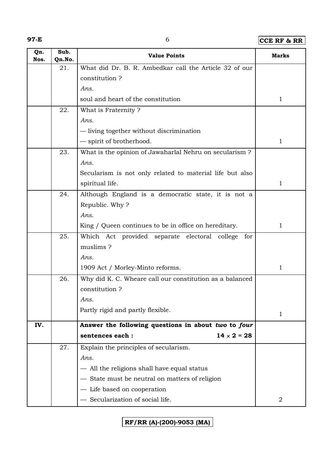| ۰. |  |  |
|----|--|--|
|    |  |  |

# **97-E** 6 **CCE RF & RR**

| Qn.<br>Nos. | Sub.<br>Qn.No. | <b>Value Points</b>                                      | <b>Marks</b> |
|-------------|----------------|----------------------------------------------------------|--------------|
|             | 21.            | What did Dr. B. R. Ambedkar call the Article 32 of our   |              |
|             |                | constitution?                                            |              |
|             |                | Ans.                                                     |              |
|             |                | soul and heart of the constitution                       | $\mathbf{1}$ |
|             | 22.            | What is Fraternity?                                      |              |
|             |                | Ans.                                                     |              |
|             |                | — living together without discrimination                 |              |
|             |                | - spirit of brotherhood.                                 | $\mathbf{1}$ |
|             | 23.            | What is the opinion of Jawaharlal Nehru on secularism?   |              |
|             |                | Ans.                                                     |              |
|             |                | Secularism is not only related to material life but also |              |
|             |                | spiritual life.                                          | $\mathbf{1}$ |
|             | 24.            | Although England is a democratic state, it is not a      |              |
|             |                | Republic. Why?                                           |              |
|             |                | Ans.                                                     |              |
|             |                | King / Queen continues to be in office on hereditary.    | $\mathbf{1}$ |
|             | 25.            | Which Act provided separate electoral college for        |              |
|             |                | muslims?                                                 |              |
|             |                | Ans.                                                     |              |
|             |                | 1909 Act / Morley-Minto reforms.                         | 1            |
|             | 26.            | Why did K. C. Wheare call our constitution as a balanced |              |
|             |                | constitution?                                            |              |
|             |                | Ans.                                                     |              |
|             |                | Partly rigid and partly flexible.                        | 1            |
| IV.         |                | Answer the following questions in about two to four      |              |
|             |                | sentences each:<br>$14 \times 2 = 28$                    |              |
|             | 27.            | Explain the principles of secularism.                    |              |
|             |                | Ans.                                                     |              |
|             |                | - All the religions shall have equal status              |              |
|             |                | State must be neutral on matters of religion             |              |
|             |                | Life based on cooperation                                |              |
|             |                | Secularization of social life.                           | 2            |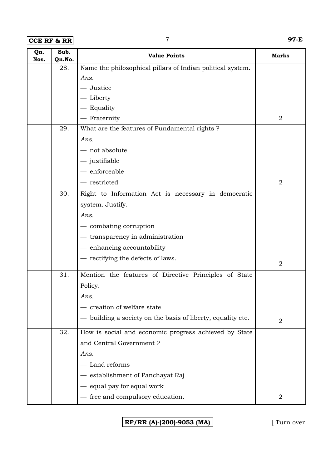**CCE RF & RR** 7 **97-E**

| Qn.<br>Nos. | Sub.<br>Qn.No. | <b>Value Points</b>                                        | <b>Marks</b>   |
|-------------|----------------|------------------------------------------------------------|----------------|
|             | 28.            | Name the philosophical pillars of Indian political system. |                |
|             |                | Ans.                                                       |                |
|             |                | - Justice                                                  |                |
|             |                | - Liberty                                                  |                |
|             |                | - Equality                                                 |                |
|             |                | - Fraternity                                               | $\overline{2}$ |
|             | 29.            | What are the features of Fundamental rights ?              |                |
|             |                | Ans.                                                       |                |
|             |                | - not absolute                                             |                |
|             |                | $-$ justifiable                                            |                |
|             |                | $-$ enforceable                                            |                |
|             |                | - restricted                                               | $\overline{2}$ |
|             | 30.            | Right to Information Act is necessary in democratic        |                |
|             |                | system. Justify.                                           |                |
|             |                | Ans.                                                       |                |
|             |                | — combating corruption                                     |                |
|             |                | - transparency in administration                           |                |
|             |                | - enhancing accountability                                 |                |
|             |                | - rectifying the defects of laws.                          |                |
|             |                |                                                            | $\overline{2}$ |
|             | 31.            | Mention the features of Directive Principles of State      |                |
|             |                | Policy.                                                    |                |
|             |                | Ans.                                                       |                |
|             |                | creation of welfare state                                  |                |
|             |                | building a society on the basis of liberty, equality etc.  | $\overline{2}$ |
|             | 32.            | How is social and economic progress achieved by State      |                |
|             |                | and Central Government?                                    |                |
|             |                | Ans.                                                       |                |
|             |                | - Land reforms                                             |                |
|             |                | establishment of Panchayat Raj                             |                |
|             |                | equal pay for equal work                                   |                |
|             |                | - free and compulsory education.                           | $\overline{2}$ |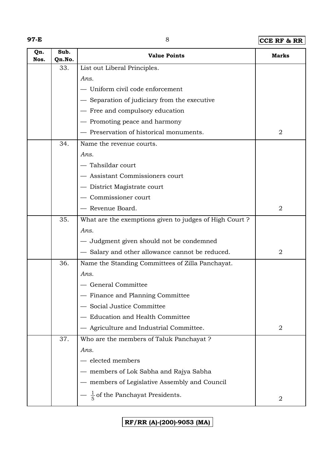### **97-E** 8 **CCE RF & RR**

| Qn.<br>Nos. | Sub.<br>Qn.No. | <b>Value Points</b>                                    | <b>Marks</b>   |
|-------------|----------------|--------------------------------------------------------|----------------|
|             | 33.            | List out Liberal Principles.                           |                |
|             |                | Ans.                                                   |                |
|             |                | - Uniform civil code enforcement                       |                |
|             |                | - Separation of judiciary from the executive           |                |
|             |                | - Free and compulsory education                        |                |
|             |                | - Promoting peace and harmony                          |                |
|             |                | - Preservation of historical monuments.                | $\overline{2}$ |
|             | 34.            | Name the revenue courts.                               |                |
|             |                | Ans.                                                   |                |
|             |                | - Tahsildar court                                      |                |
|             |                | - Assistant Commissioners court                        |                |
|             |                | - District Magistrate court                            |                |
|             |                | - Commissioner court                                   |                |
|             |                | - Revenue Board.                                       | $\overline{2}$ |
|             | 35.            | What are the exemptions given to judges of High Court? |                |
|             |                | Ans.                                                   |                |
|             |                | - Judgment given should not be condemned               |                |
|             |                | - Salary and other allowance cannot be reduced.        | $\overline{2}$ |
|             | 36.            | Name the Standing Committees of Zilla Panchayat.       |                |
|             |                | Ans.                                                   |                |
|             |                | General Committee                                      |                |
|             |                | - Finance and Planning Committee                       |                |
|             |                | Social Justice Committee                               |                |
|             |                | <b>Education and Health Committee</b>                  |                |
|             |                | Agriculture and Industrial Committee.                  | $\overline{2}$ |
|             | 37.            | Who are the members of Taluk Panchayat ?               |                |
|             |                | Ans.                                                   |                |
|             |                | - elected members                                      |                |
|             |                | members of Lok Sabha and Rajya Sabha                   |                |
|             |                | members of Legislative Assembly and Council            |                |
|             |                | $\frac{1}{5}$ of the Panchayat Presidents.             | 2              |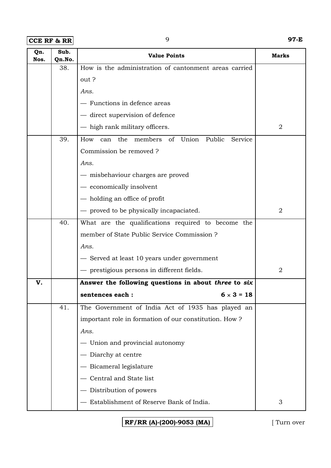**CCE RF & RR** 9 **97-E**

| Qn.<br>Nos. | Sub.<br>Qn.No. | <b>Value Points</b>                                           | <b>Marks</b>   |
|-------------|----------------|---------------------------------------------------------------|----------------|
|             | 38.            | How is the administration of cantonment areas carried         |                |
|             |                | out?                                                          |                |
|             |                | Ans.                                                          |                |
|             |                | - Functions in defence areas                                  |                |
|             |                | - direct supervision of defence                               |                |
|             |                | - high rank military officers.                                | 2              |
|             | 39.            | Union<br>Public<br>How<br>the<br>members of<br>Service<br>can |                |
|             |                | Commission be removed ?                                       |                |
|             |                | Ans.                                                          |                |
|             |                | — misbehaviour charges are proved                             |                |
|             |                | - economically insolvent                                      |                |
|             |                | - holding an office of profit                                 |                |
|             |                | - proved to be physically incapaciated.                       | $\overline{2}$ |
|             | 40.            | What are the qualifications required to become the            |                |
|             |                | member of State Public Service Commission ?                   |                |
|             |                | Ans.                                                          |                |
|             |                | - Served at least 10 years under government                   |                |
|             |                | - prestigious persons in different fields.                    | $\overline{2}$ |
| V.          |                | Answer the following questions in about three to six          |                |
|             |                | $6 \times 3 = 18$<br>sentences each :                         |                |
|             | 41.            | The Government of India Act of 1935 has played an             |                |
|             |                | important role in formation of our constitution. How?         |                |
|             |                | Ans.                                                          |                |
|             |                | - Union and provincial autonomy                               |                |
|             |                | - Diarchy at centre                                           |                |
|             |                | - Bicameral legislature                                       |                |
|             |                | Central and State list                                        |                |
|             |                | - Distribution of powers                                      |                |
|             |                | Establishment of Reserve Bank of India.                       | 3              |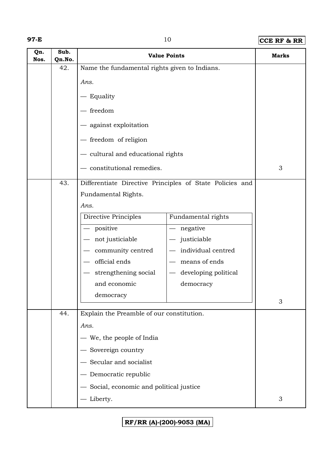| ۰. |  |  |
|----|--|--|
|    |  |  |

# **97-E** 10 **CCE RF & RR**

| Qn.<br>Nos. | Sub.<br>Qn.No.                                                                                 | <b>Value Points</b>                           |                        | <b>Marks</b>              |
|-------------|------------------------------------------------------------------------------------------------|-----------------------------------------------|------------------------|---------------------------|
|             | 42.                                                                                            | Name the fundamental rights given to Indians. |                        |                           |
|             |                                                                                                | Ans.                                          |                        |                           |
|             |                                                                                                | - Equality                                    |                        |                           |
|             |                                                                                                | $-$ freedom                                   |                        |                           |
|             |                                                                                                | - against exploitation                        |                        |                           |
|             |                                                                                                | - freedom of religion                         |                        |                           |
|             |                                                                                                | - cultural and educational rights             |                        |                           |
|             |                                                                                                | - constitutional remedies.                    | 3                      |                           |
|             | Differentiate Directive Principles of State Policies and<br>43.<br>Fundamental Rights.<br>Ans. |                                               |                        |                           |
|             |                                                                                                | <b>Directive Principles</b>                   | Fundamental rights     |                           |
|             |                                                                                                | positive                                      | $-$ negative           |                           |
|             |                                                                                                | not justiciable                               | justiciable            |                           |
|             |                                                                                                | community centred                             | - individual centred   |                           |
|             |                                                                                                | official ends                                 | means of ends          |                           |
|             |                                                                                                | strengthening social                          | - developing political |                           |
|             |                                                                                                | and economic                                  | democracy              |                           |
|             |                                                                                                | democracy                                     |                        | 3                         |
|             | 44.                                                                                            | Explain the Preamble of our constitution.     |                        |                           |
|             |                                                                                                | Ans.                                          |                        |                           |
|             |                                                                                                | - We, the people of India                     |                        |                           |
|             |                                                                                                | - Sovereign country                           |                        |                           |
|             |                                                                                                | - Secular and socialist                       |                        |                           |
|             |                                                                                                | - Democratic republic                         |                        |                           |
|             |                                                                                                | Social, economic and political justice        |                        |                           |
|             |                                                                                                | Liberty.                                      |                        | $\ensuremath{\mathsf{3}}$ |